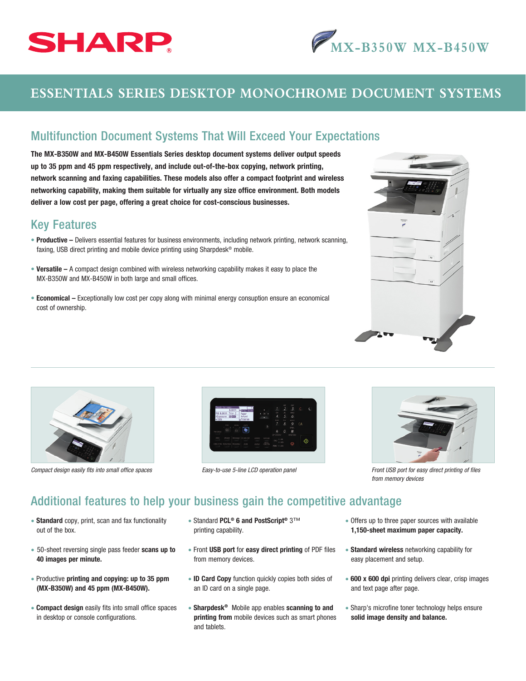



# **ESSENTIALS SERIES DESKTOP MONOCHROME DOCUMENT SYSTEMS**

### Multifunction Document Systems That Will Exceed Your Expectations

The MX-B350W and MX-B450W Essentials Series desktop document systems deliver output speeds up to 35 ppm and 45 ppm respectively, and include out-of-the-box copying, network printing, network scanning and faxing capabilities. These models also offer a compact footprint and wireless networking capability, making them suitable for virtually any size office environment. Both models deliver a low cost per page, offering a great choice for cost-conscious businesses.

#### Key Features

- Productive Delivers essential features for business environments, including network printing, network scanning, faxing, USB direct printing and mobile device printing using Sharpdesk® mobile.
- Versatile A compact design combined with wireless networking capability makes it easy to place the MX-B350W and MX-B450W in both large and small offices.
- Economical Exceptionally low cost per copy along with minimal energy consuption ensure an economical cost of ownership.







*Easy-to-use 5-line LCD operation panel* 



*Compact design easily fits into small office spaces Fronties Front USB port for easy direct printing of files Front USB port for easy direct printing of files from memory devices*

## Additional features to help your business gain the competitive advantage

- Standard copy, print, scan and fax functionality out of the box.
- 50-sheet reversing single pass feeder scans up to 40 images per minute.
- Productive printing and copying: up to 35 ppm (MX-B350W) and 45 ppm (MX-B450W).
- **Compact design** easily fits into small office spaces in desktop or console configurations.
- Standard PCL® 6 and PostScript® 3™ printing capability.
- Front USB port for easy direct printing of PDF files from memory devices.
- ID Card Copy function quickly copies both sides of an ID card on a single page.
- Sharpdesk<sup>®</sup> Mobile app enables scanning to and printing from mobile devices such as smart phones and tablets.
- Offers up to three paper sources with available 1,150-sheet maximum paper capacity.
- Standard wireless networking capability for easy placement and setup.
- 600 x 600 dpi printing delivers clear, crisp images and text page after page.
- Sharp's microfine toner technology helps ensure solid image density and balance.